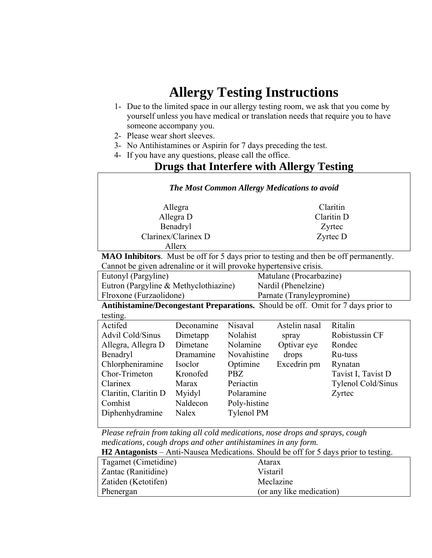## **Allergy Testing Instructions**

- 1- Due to the limited space in our allergy testing room, we ask that you come by yourself unless you have medical or translation needs that require you to have someone accompany you.
- 2- Please wear short sleeves.
- 3- No Antihistamines or Aspirin for 7 days preceding the test.
- 4- If you have any questions, please call the office.

## **Drugs that Interfere with Allergy Testing**

| <b>The Most Common Allergy Medications to avoid</b>                                  |              |                   |                           |                    |  |  |  |
|--------------------------------------------------------------------------------------|--------------|-------------------|---------------------------|--------------------|--|--|--|
| Allegra                                                                              |              |                   | Claritin                  |                    |  |  |  |
| Allegra D                                                                            |              |                   | Claritin D                |                    |  |  |  |
| Benadryl                                                                             |              |                   | Zyrtec                    |                    |  |  |  |
| Clarinex/Clarinex D                                                                  |              |                   | Zyrtec D                  |                    |  |  |  |
|                                                                                      | Allerx       |                   |                           |                    |  |  |  |
| MAO Inhibitors. Must be off for 5 days prior to testing and then be off permanently. |              |                   |                           |                    |  |  |  |
| Cannot be given adrenaline or it will provoke hypertensive crisis.                   |              |                   |                           |                    |  |  |  |
| Eutonyl (Pargyline)                                                                  |              |                   | Matulane (Procarbazine)   |                    |  |  |  |
| Eutron (Pargyline & Methyclothiazine)                                                |              |                   | Nardil (Phenelzine)       |                    |  |  |  |
| Flroxone (Furzaolidone)                                                              |              |                   | Parnate (Tranyleypromine) |                    |  |  |  |
| Antihistamine/Decongestant Preparations. Should be off. Omit for 7 days prior to     |              |                   |                           |                    |  |  |  |
| testing.                                                                             |              |                   |                           |                    |  |  |  |
| Actifed                                                                              | Deconamine   | Nisaval           | Astelin nasal             | Ritalin            |  |  |  |
| <b>Advil Cold/Sinus</b>                                                              | Dimetapp     | Nolahist          | spray                     | Robistussin CF     |  |  |  |
| Allegra, Allegra D                                                                   | Dimetane     | Nolamine          | Optivar eye               | Rondec             |  |  |  |
| Benadryl                                                                             | Dramamine    | Novahistine       | drops                     | Ru-tuss            |  |  |  |
| Chlorpheniramine                                                                     | Isoclor      | Optimine          | Excedrin pm               | Rynatan            |  |  |  |
| Chor-Trimeton                                                                        | Kronofed     | <b>PBZ</b>        |                           | Tavist I, Tavist D |  |  |  |
| Clarinex                                                                             | Marax        | Periactin         |                           | Tylenol Cold/Sinus |  |  |  |
| Claritin, Claritin D                                                                 | Myidyl       | Polaramine        |                           | Zyrtec             |  |  |  |
| Comhist                                                                              | Naldecon     | Poly-histine      |                           |                    |  |  |  |
| Diphenhydramine                                                                      | <b>Nalex</b> | <b>Tylenol PM</b> |                           |                    |  |  |  |
|                                                                                      |              |                   |                           |                    |  |  |  |
| Please refrain from taking all cold medications, nose drops and sprays, cough        |              |                   |                           |                    |  |  |  |

*medications, cough drops and other antihistamines in any form.* 

**H2 Antagonists** – Anti-Nausea Medications. Should be off for 5 days prior to testing.

| Tagamet (Cimetidine) | Atarax                   |
|----------------------|--------------------------|
| Zantac (Ranitidine)  | Vistaril                 |
| Zatiden (Ketotifen)  | Meclazine                |
| Phenergan            | (or any like medication) |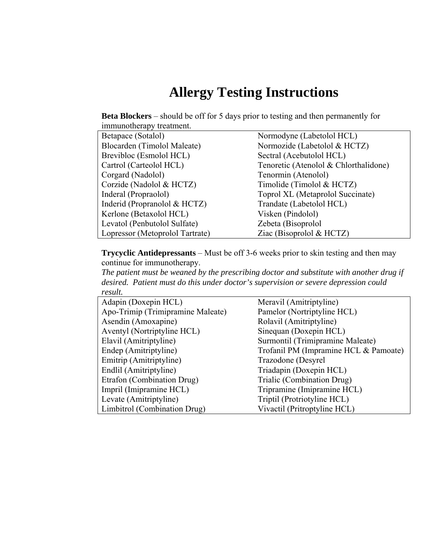## **Allergy Testing Instructions**

**Beta Blockers** – should be off for 5 days prior to testing and then permanently for immunotherapy treatment.

| Betapace (Sotalol)              | Normodyne (Labetolol HCL)             |
|---------------------------------|---------------------------------------|
| Blocarden (Timolol Maleate)     | Normozide (Labetolol & HCTZ)          |
| Brevibloc (Esmolol HCL)         | Sectral (Acebutolol HCL)              |
| Cartrol (Carteolol HCL)         | Tenoretic (Atenolol & Chlorthalidone) |
| Corgard (Nadolol)               | Tenormin (Atenolol)                   |
| Corzide (Nadolol & HCTZ)        | Timolide (Timolol & HCTZ)             |
| Inderal (Propraolol)            | Toprol XL (Metaprolol Succinate)      |
| Inderid (Propranolol $& HCTZ$ ) | Trandate (Labetolol HCL)              |
| Kerlone (Betaxolol HCL)         | Visken (Pindolol)                     |
| Levatol (Penbutolol Sulfate)    | Zebeta (Bisoprolol                    |
| Lopressor (Metoprolol Tartrate) | Ziac (Bisoprolol $& HCTZ$ )           |

**Trycyclic Antidepressants** – Must be off 3-6 weeks prior to skin testing and then may continue for immunotherapy.

*The patient must be weaned by the prescribing doctor and substitute with another drug if desired. Patient must do this under doctor's supervision or severe depression could result.* 

| Adapin (Doxepin HCL)              | Meravil (Amitriptyline)               |
|-----------------------------------|---------------------------------------|
| Apo-Trimip (Trimipramine Maleate) | Pamelor (Nortriptyline HCL)           |
| Asendin (Amoxapine)               | Rolavil (Amitriptyline)               |
| Aventyl (Nortriptyline HCL)       | Sinequan (Doxepin HCL)                |
| Elavil (Amitriptyline)            | Surmontil (Trimipramine Maleate)      |
| Endep (Amitriptyline)             | Trofanil PM (Impramine HCL & Pamoate) |
| Emitrip (Amitriptyline)           | Trazodone (Desyrel                    |
| Endlil (Amitriptyline)            | Triadapin (Doxepin HCL)               |
| Etrafon (Combination Drug)        | Trialic (Combination Drug)            |
| Impril (Imipramine HCL)           | Tripramine (Imipramine HCL)           |
| Levate (Amitriptyline)            | Triptil (Protriotyline HCL)           |
| Limbitrol (Combination Drug)      | Vivactil (Pritroptyline HCL)          |